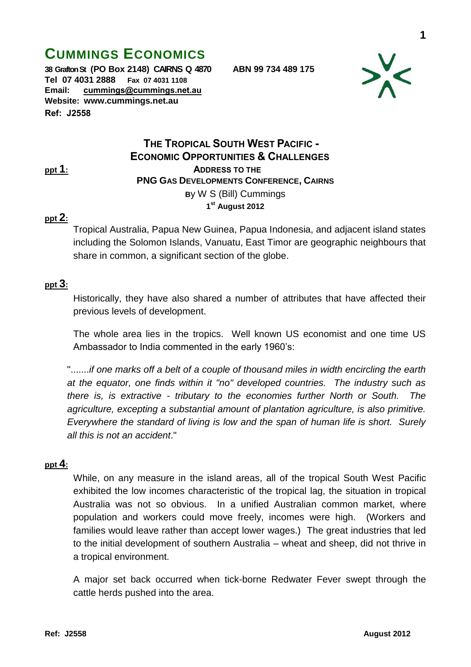# **CUMMINGS ECONOMICS**

**38 Grafton St (PO Box 2148) CAIRNS Q 4870 ABN 99 734 489 175 Tel 07 4031 2888 Fax 07 4031 1108 Email: [cummings@cummings.net.au](mailto:cummings@cummings.net.au) Website: www.cummings.net.au Ref: J2558**



# **THE TROPICAL SOUTH WEST PACIFIC - ECONOMIC OPPORTUNITIES & CHALLENGES ppt 1: ADDRESS TO THE PNG GAS DEVELOPMENTS CONFERENCE, CAIRNS B**y W S (Bill) Cummings **1 st August 2012**

#### **ppt 2:**

Tropical Australia, Papua New Guinea, Papua Indonesia, and adjacent island states including the Solomon Islands, Vanuatu, East Timor are geographic neighbours that share in common, a significant section of the globe.

#### **ppt 3:**

Historically, they have also shared a number of attributes that have affected their previous levels of development.

The whole area lies in the tropics. Well known US economist and one time US Ambassador to India commented in the early 1960's:

".......*if one marks off a belt of a couple of thousand miles in width encircling the earth at the equator, one finds within it "no" developed countries. The industry such as there is, is extractive - tributary to the economies further North or South. The agriculture, excepting a substantial amount of plantation agriculture, is also primitive. Everywhere the standard of living is low and the span of human life is short. Surely all this is not an accident*."

#### **ppt 4:**

While, on any measure in the island areas, all of the tropical South West Pacific exhibited the low incomes characteristic of the tropical lag, the situation in tropical Australia was not so obvious. In a unified Australian common market, where population and workers could move freely, incomes were high. (Workers and families would leave rather than accept lower wages.) The great industries that led to the initial development of southern Australia – wheat and sheep, did not thrive in a tropical environment.

A major set back occurred when tick-borne Redwater Fever swept through the cattle herds pushed into the area.

**1**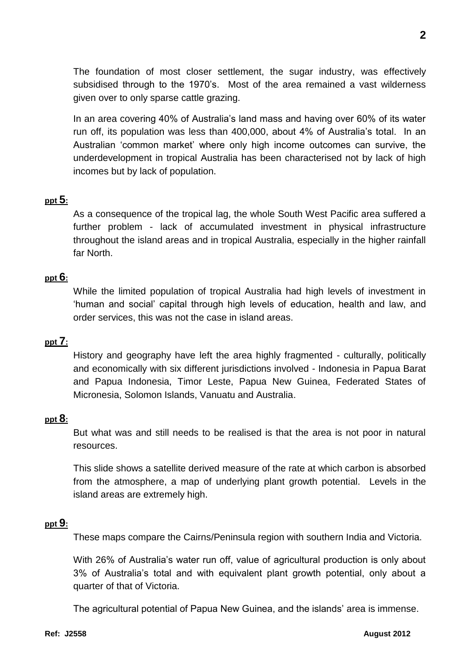The foundation of most closer settlement, the sugar industry, was effectively subsidised through to the 1970's. Most of the area remained a vast wilderness given over to only sparse cattle grazing.

In an area covering 40% of Australia's land mass and having over 60% of its water run off, its population was less than 400,000, about 4% of Australia's total. In an Australian 'common market' where only high income outcomes can survive, the underdevelopment in tropical Australia has been characterised not by lack of high incomes but by lack of population.

## **ppt 5:**

As a consequence of the tropical lag, the whole South West Pacific area suffered a further problem - lack of accumulated investment in physical infrastructure throughout the island areas and in tropical Australia, especially in the higher rainfall far North.

## **ppt 6:**

While the limited population of tropical Australia had high levels of investment in 'human and social' capital through high levels of education, health and law, and order services, this was not the case in island areas.

## **ppt 7:**

History and geography have left the area highly fragmented - culturally, politically and economically with six different jurisdictions involved - Indonesia in Papua Barat and Papua Indonesia, Timor Leste, Papua New Guinea, Federated States of Micronesia, Solomon Islands, Vanuatu and Australia.

#### **ppt 8:**

But what was and still needs to be realised is that the area is not poor in natural resources.

This slide shows a satellite derived measure of the rate at which carbon is absorbed from the atmosphere, a map of underlying plant growth potential. Levels in the island areas are extremely high.

#### **ppt 9:**

These maps compare the Cairns/Peninsula region with southern India and Victoria.

With 26% of Australia's water run off, value of agricultural production is only about 3% of Australia's total and with equivalent plant growth potential, only about a quarter of that of Victoria.

The agricultural potential of Papua New Guinea, and the islands' area is immense.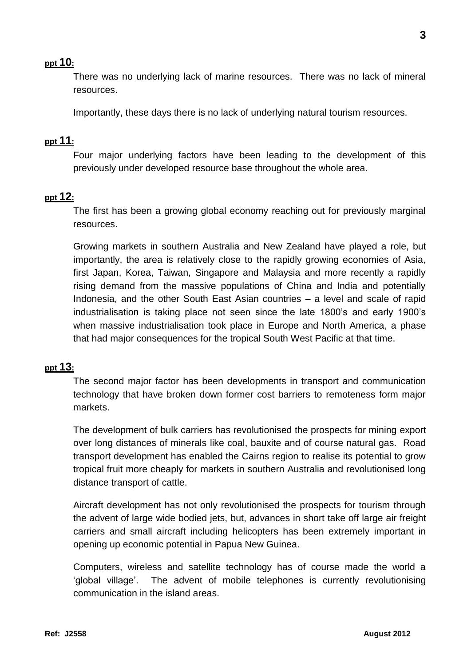## **ppt 10:**

There was no underlying lack of marine resources. There was no lack of mineral resources.

Importantly, these days there is no lack of underlying natural tourism resources.

## **ppt 11:**

Four major underlying factors have been leading to the development of this previously under developed resource base throughout the whole area.

#### **ppt 12:**

The first has been a growing global economy reaching out for previously marginal resources.

Growing markets in southern Australia and New Zealand have played a role, but importantly, the area is relatively close to the rapidly growing economies of Asia, first Japan, Korea, Taiwan, Singapore and Malaysia and more recently a rapidly rising demand from the massive populations of China and India and potentially Indonesia, and the other South East Asian countries – a level and scale of rapid industrialisation is taking place not seen since the late 1800's and early 1900's when massive industrialisation took place in Europe and North America, a phase that had major consequences for the tropical South West Pacific at that time.

#### **ppt 13:**

The second major factor has been developments in transport and communication technology that have broken down former cost barriers to remoteness form major markets.

The development of bulk carriers has revolutionised the prospects for mining export over long distances of minerals like coal, bauxite and of course natural gas. Road transport development has enabled the Cairns region to realise its potential to grow tropical fruit more cheaply for markets in southern Australia and revolutionised long distance transport of cattle.

Aircraft development has not only revolutionised the prospects for tourism through the advent of large wide bodied jets, but, advances in short take off large air freight carriers and small aircraft including helicopters has been extremely important in opening up economic potential in Papua New Guinea.

Computers, wireless and satellite technology has of course made the world a 'global village'. The advent of mobile telephones is currently revolutionising communication in the island areas.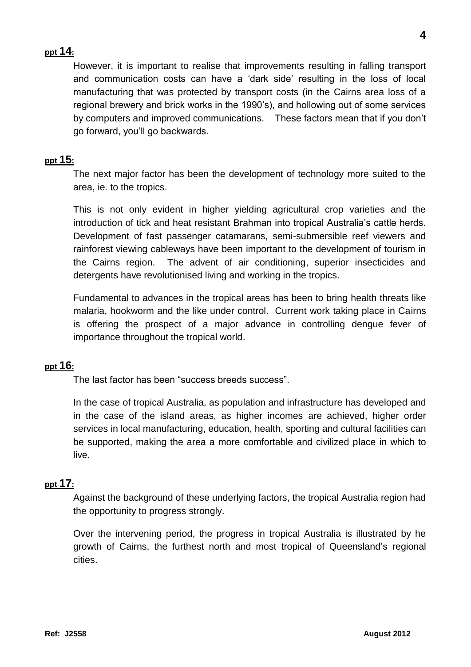# **ppt 14:**

However, it is important to realise that improvements resulting in falling transport and communication costs can have a 'dark side' resulting in the loss of local manufacturing that was protected by transport costs (in the Cairns area loss of a regional brewery and brick works in the 1990's), and hollowing out of some services by computers and improved communications. These factors mean that if you don't go forward, you'll go backwards.

# **ppt 15:**

The next major factor has been the development of technology more suited to the area, ie. to the tropics.

This is not only evident in higher yielding agricultural crop varieties and the introduction of tick and heat resistant Brahman into tropical Australia's cattle herds. Development of fast passenger catamarans, semi-submersible reef viewers and rainforest viewing cableways have been important to the development of tourism in the Cairns region. The advent of air conditioning, superior insecticides and detergents have revolutionised living and working in the tropics.

Fundamental to advances in the tropical areas has been to bring health threats like malaria, hookworm and the like under control. Current work taking place in Cairns is offering the prospect of a major advance in controlling dengue fever of importance throughout the tropical world.

## **ppt 16:**

The last factor has been "success breeds success".

In the case of tropical Australia, as population and infrastructure has developed and in the case of the island areas, as higher incomes are achieved, higher order services in local manufacturing, education, health, sporting and cultural facilities can be supported, making the area a more comfortable and civilized place in which to live.

## **ppt 17:**

Against the background of these underlying factors, the tropical Australia region had the opportunity to progress strongly.

Over the intervening period, the progress in tropical Australia is illustrated by he growth of Cairns, the furthest north and most tropical of Queensland's regional cities.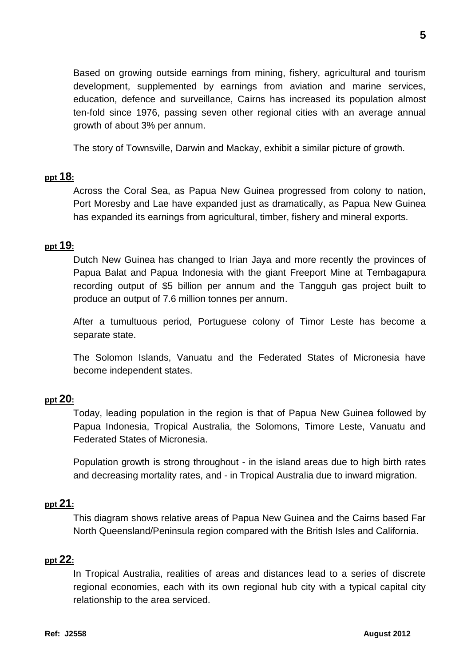Based on growing outside earnings from mining, fishery, agricultural and tourism development, supplemented by earnings from aviation and marine services, education, defence and surveillance, Cairns has increased its population almost ten-fold since 1976, passing seven other regional cities with an average annual growth of about 3% per annum.

The story of Townsville, Darwin and Mackay, exhibit a similar picture of growth.

#### **ppt 18:**

Across the Coral Sea, as Papua New Guinea progressed from colony to nation, Port Moresby and Lae have expanded just as dramatically, as Papua New Guinea has expanded its earnings from agricultural, timber, fishery and mineral exports.

## **ppt 19:**

Dutch New Guinea has changed to Irian Jaya and more recently the provinces of Papua Balat and Papua Indonesia with the giant Freeport Mine at Tembagapura recording output of \$5 billion per annum and the Tangguh gas project built to produce an output of 7.6 million tonnes per annum.

After a tumultuous period, Portuguese colony of Timor Leste has become a separate state.

The Solomon Islands, Vanuatu and the Federated States of Micronesia have become independent states.

#### **ppt 20:**

Today, leading population in the region is that of Papua New Guinea followed by Papua Indonesia, Tropical Australia, the Solomons, Timore Leste, Vanuatu and Federated States of Micronesia.

Population growth is strong throughout - in the island areas due to high birth rates and decreasing mortality rates, and - in Tropical Australia due to inward migration.

#### **ppt 21:**

This diagram shows relative areas of Papua New Guinea and the Cairns based Far North Queensland/Peninsula region compared with the British Isles and California.

## **ppt 22:**

In Tropical Australia, realities of areas and distances lead to a series of discrete regional economies, each with its own regional hub city with a typical capital city relationship to the area serviced.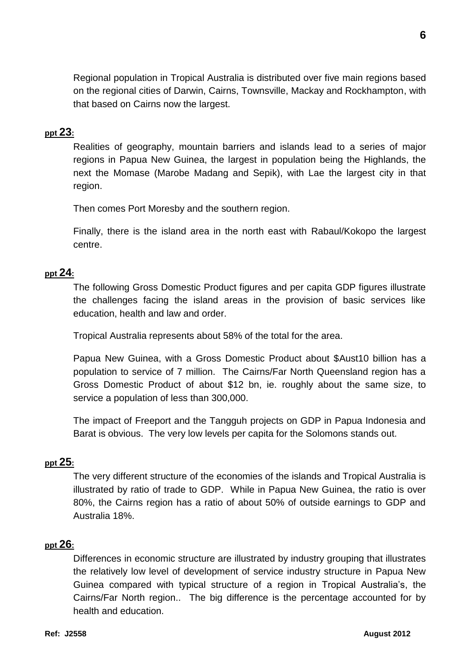Regional population in Tropical Australia is distributed over five main regions based on the regional cities of Darwin, Cairns, Townsville, Mackay and Rockhampton, with that based on Cairns now the largest.

## **ppt 23:**

Realities of geography, mountain barriers and islands lead to a series of major regions in Papua New Guinea, the largest in population being the Highlands, the next the Momase (Marobe Madang and Sepik), with Lae the largest city in that region.

Then comes Port Moresby and the southern region.

Finally, there is the island area in the north east with Rabaul/Kokopo the largest centre.

## **ppt 24:**

The following Gross Domestic Product figures and per capita GDP figures illustrate the challenges facing the island areas in the provision of basic services like education, health and law and order.

Tropical Australia represents about 58% of the total for the area.

Papua New Guinea, with a Gross Domestic Product about \$Aust10 billion has a population to service of 7 million. The Cairns/Far North Queensland region has a Gross Domestic Product of about \$12 bn, ie. roughly about the same size, to service a population of less than 300,000.

The impact of Freeport and the Tangguh projects on GDP in Papua Indonesia and Barat is obvious. The very low levels per capita for the Solomons stands out.

## **ppt 25:**

The very different structure of the economies of the islands and Tropical Australia is illustrated by ratio of trade to GDP. While in Papua New Guinea, the ratio is over 80%, the Cairns region has a ratio of about 50% of outside earnings to GDP and Australia 18%.

## **ppt 26:**

Differences in economic structure are illustrated by industry grouping that illustrates the relatively low level of development of service industry structure in Papua New Guinea compared with typical structure of a region in Tropical Australia's, the Cairns/Far North region.. The big difference is the percentage accounted for by health and education.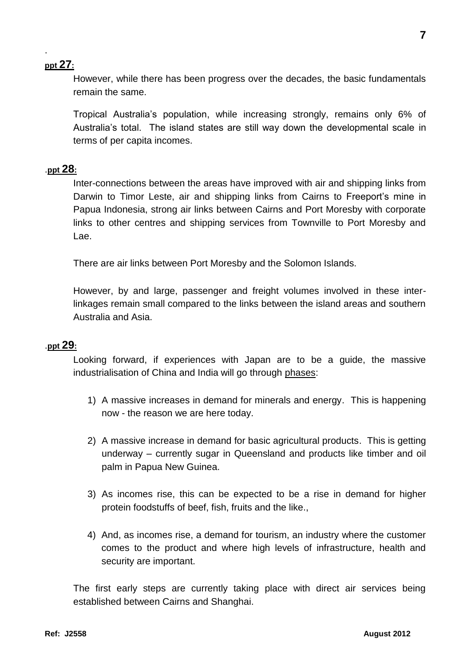# **ppt 27:**

.

However, while there has been progress over the decades, the basic fundamentals remain the same.

Tropical Australia's population, while increasing strongly, remains only 6% of Australia's total. The island states are still way down the developmental scale in terms of per capita incomes.

## .**ppt 28:**

Inter-connections between the areas have improved with air and shipping links from Darwin to Timor Leste, air and shipping links from Cairns to Freeport's mine in Papua Indonesia, strong air links between Cairns and Port Moresby with corporate links to other centres and shipping services from Townville to Port Moresby and Lae.

There are air links between Port Moresby and the Solomon Islands.

However, by and large, passenger and freight volumes involved in these interlinkages remain small compared to the links between the island areas and southern Australia and Asia.

# .**ppt 29:**

Looking forward, if experiences with Japan are to be a guide, the massive industrialisation of China and India will go through phases:

- 1) A massive increases in demand for minerals and energy. This is happening now - the reason we are here today.
- 2) A massive increase in demand for basic agricultural products. This is getting underway – currently sugar in Queensland and products like timber and oil palm in Papua New Guinea.
- 3) As incomes rise, this can be expected to be a rise in demand for higher protein foodstuffs of beef, fish, fruits and the like.,
- 4) And, as incomes rise, a demand for tourism, an industry where the customer comes to the product and where high levels of infrastructure, health and security are important.

The first early steps are currently taking place with direct air services being established between Cairns and Shanghai.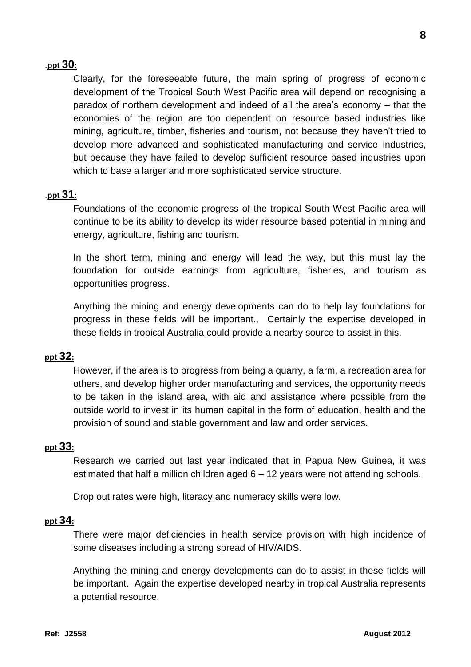## .**ppt 30:**

Clearly, for the foreseeable future, the main spring of progress of economic development of the Tropical South West Pacific area will depend on recognising a paradox of northern development and indeed of all the area's economy – that the economies of the region are too dependent on resource based industries like mining, agriculture, timber, fisheries and tourism, not because they haven't tried to develop more advanced and sophisticated manufacturing and service industries, but because they have failed to develop sufficient resource based industries upon which to base a larger and more sophisticated service structure.

#### .**ppt 31:**

Foundations of the economic progress of the tropical South West Pacific area will continue to be its ability to develop its wider resource based potential in mining and energy, agriculture, fishing and tourism.

In the short term, mining and energy will lead the way, but this must lay the foundation for outside earnings from agriculture, fisheries, and tourism as opportunities progress.

Anything the mining and energy developments can do to help lay foundations for progress in these fields will be important., Certainly the expertise developed in these fields in tropical Australia could provide a nearby source to assist in this.

#### **ppt 32:**

However, if the area is to progress from being a quarry, a farm, a recreation area for others, and develop higher order manufacturing and services, the opportunity needs to be taken in the island area, with aid and assistance where possible from the outside world to invest in its human capital in the form of education, health and the provision of sound and stable government and law and order services.

#### **ppt 33:**

Research we carried out last year indicated that in Papua New Guinea, it was estimated that half a million children aged 6 – 12 years were not attending schools.

Drop out rates were high, literacy and numeracy skills were low.

#### **ppt 34:**

There were major deficiencies in health service provision with high incidence of some diseases including a strong spread of HIV/AIDS.

Anything the mining and energy developments can do to assist in these fields will be important. Again the expertise developed nearby in tropical Australia represents a potential resource.